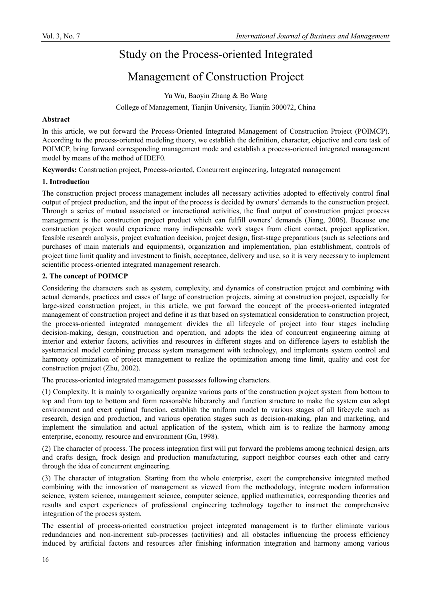# Study on the Process-oriented Integrated

## Management of Construction Project

Yu Wu, Baoyin Zhang & Bo Wang

College of Management, Tianjin University, Tianjin 300072, China

## **Abstract**

In this article, we put forward the Process-Oriented Integrated Management of Construction Project (POIMCP). According to the process-oriented modeling theory, we establish the definition, character, objective and core task of POIMCP, bring forward corresponding management mode and establish a process-oriented integrated management model by means of the method of IDEF0.

**Keywords:** Construction project, Process-oriented, Concurrent engineering, Integrated management

## **1. Introduction**

The construction project process management includes all necessary activities adopted to effectively control final output of project production, and the input of the process is decided by owners' demands to the construction project. Through a series of mutual associated or interactional activities, the final output of construction project process management is the construction project product which can fulfill owners' demands (Jiang, 2006). Because one construction project would experience many indispensable work stages from client contact, project application, feasible research analysis, project evaluation decision, project design, first-stage preparations (such as selections and purchases of main materials and equipments), organization and implementation, plan establishment, controls of project time limit quality and investment to finish, acceptance, delivery and use, so it is very necessary to implement scientific process-oriented integrated management research.

## **2. The concept of POIMCP**

Considering the characters such as system, complexity, and dynamics of construction project and combining with actual demands, practices and cases of large of construction projects, aiming at construction project, especially for large-sized construction project, in this article, we put forward the concept of the process-oriented integrated management of construction project and define it as that based on systematical consideration to construction project, the process-oriented integrated management divides the all lifecycle of project into four stages including decision-making, design, construction and operation, and adopts the idea of concurrent engineering aiming at interior and exterior factors, activities and resources in different stages and on difference layers to establish the systematical model combining process system management with technology, and implements system control and harmony optimization of project management to realize the optimization among time limit, quality and cost for construction project (Zhu, 2002).

The process-oriented integrated management possesses following characters.

(1) Complexity. It is mainly to organically organize various parts of the construction project system from bottom to top and from top to bottom and form reasonable hiberarchy and function structure to make the system can adopt environment and exert optimal function, establish the uniform model to various stages of all lifecycle such as research, design and production, and various operation stages such as decision-making, plan and marketing, and implement the simulation and actual application of the system, which aim is to realize the harmony among enterprise, economy, resource and environment (Gu, 1998).

(2) The character of process. The process integration first will put forward the problems among technical design, arts and crafts design, frock design and production manufacturing, support neighbor courses each other and carry through the idea of concurrent engineering.

(3) The character of integration. Starting from the whole enterprise, exert the comprehensive integrated method combining with the innovation of management as viewed from the methodology, integrate modern information science, system science, management science, computer science, applied mathematics, corresponding theories and results and expert experiences of professional engineering technology together to instruct the comprehensive integration of the process system.

The essential of process-oriented construction project integrated management is to further eliminate various redundancies and non-increment sub-processes (activities) and all obstacles influencing the process efficiency induced by artificial factors and resources after finishing information integration and harmony among various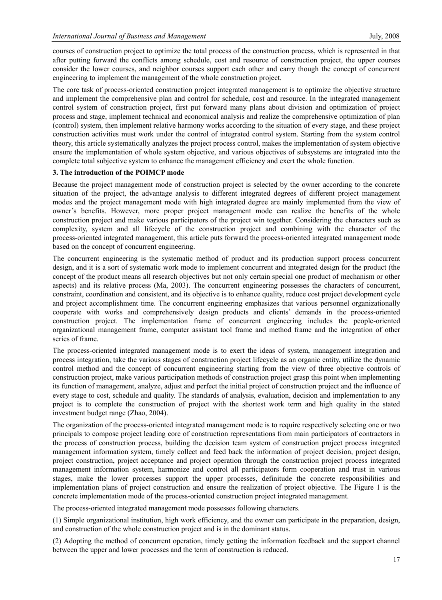courses of construction project to optimize the total process of the construction process, which is represented in that after putting forward the conflicts among schedule, cost and resource of construction project, the upper courses consider the lower courses, and neighbor courses support each other and carry though the concept of concurrent engineering to implement the management of the whole construction project.

The core task of process-oriented construction project integrated management is to optimize the objective structure and implement the comprehensive plan and control for schedule, cost and resource. In the integrated management control system of construction project, first put forward many plans about division and optimization of project process and stage, implement technical and economical analysis and realize the comprehensive optimization of plan (control) system, then implement relative harmony works according to the situation of every stage, and these project construction activities must work under the control of integrated control system. Starting from the system control theory, this article systematically analyzes the project process control, makes the implementation of system objective ensure the implementation of whole system objective, and various objectives of subsystems are integrated into the complete total subjective system to enhance the management efficiency and exert the whole function.

## **3. The introduction of the POIMCP mode**

Because the project management mode of construction project is selected by the owner according to the concrete situation of the project, the advantage analysis to different integrated degrees of different project management modes and the project management mode with high integrated degree are mainly implemented from the view of owner's benefits. However, more proper project management mode can realize the benefits of the whole construction project and make various participators of the project win together. Considering the characters such as complexity, system and all lifecycle of the construction project and combining with the character of the process-oriented integrated management, this article puts forward the process-oriented integrated management mode based on the concept of concurrent engineering.

The concurrent engineering is the systematic method of product and its production support process concurrent design, and it is a sort of systematic work mode to implement concurrent and integrated design for the product (the concept of the product means all research objectives but not only certain special one product of mechanism or other aspects) and its relative process (Ma, 2003). The concurrent engineering possesses the characters of concurrent, constraint, coordination and consistent, and its objective is to enhance quality, reduce cost project development cycle and project accomplishment time. The concurrent engineering emphasizes that various personnel organizationally cooperate with works and comprehensively design products and clients' demands in the process-oriented construction project. The implementation frame of concurrent engineering includes the people-oriented organizational management frame, computer assistant tool frame and method frame and the integration of other series of frame.

The process-oriented integrated management mode is to exert the ideas of system, management integration and process integration, take the various stages of construction project lifecycle as an organic entity, utilize the dynamic control method and the concept of concurrent engineering starting from the view of three objective controls of construction project, make various participation methods of construction project grasp this point when implementing its function of management, analyze, adjust and perfect the initial project of construction project and the influence of every stage to cost, schedule and quality. The standards of analysis, evaluation, decision and implementation to any project is to complete the construction of project with the shortest work term and high quality in the stated investment budget range (Zhao, 2004).

The organization of the process-oriented integrated management mode is to require respectively selecting one or two principals to compose project leading core of construction representations from main participators of contractors in the process of construction process, building the decision team system of construction project process integrated management information system, timely collect and feed back the information of project decision, project design, project construction, project acceptance and project operation through the construction project process integrated management information system, harmonize and control all participators form cooperation and trust in various stages, make the lower processes support the upper processes, definitude the concrete responsibilities and implementation plans of project construction and ensure the realization of project objective. The Figure 1 is the concrete implementation mode of the process-oriented construction project integrated management.

The process-oriented integrated management mode possesses following characters.

(1) Simple organizational institution, high work efficiency, and the owner can participate in the preparation, design, and construction of the whole construction project and is in the dominant status.

(2) Adopting the method of concurrent operation, timely getting the information feedback and the support channel between the upper and lower processes and the term of construction is reduced.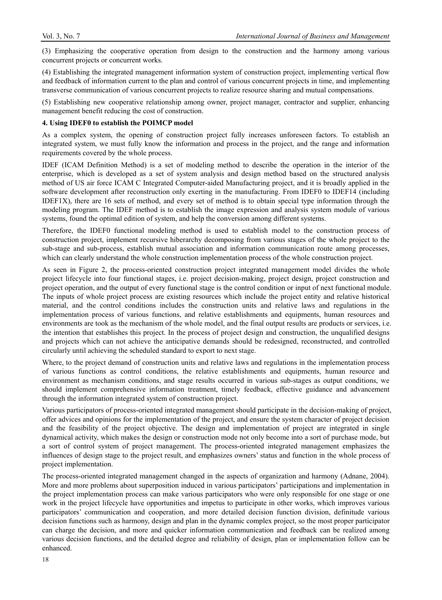(3) Emphasizing the cooperative operation from design to the construction and the harmony among various concurrent projects or concurrent works.

(4) Establishing the integrated management information system of construction project, implementing vertical flow and feedback of information current to the plan and control of various concurrent projects in time, and implementing transverse communication of various concurrent projects to realize resource sharing and mutual compensations.

(5) Establishing new cooperative relationship among owner, project manager, contractor and supplier, enhancing management benefit reducing the cost of construction.

#### **4. Using IDEF0 to establish the POIMCP model**

As a complex system, the opening of construction project fully increases unforeseen factors. To establish an integrated system, we must fully know the information and process in the project, and the range and information requirements covered by the whole process.

IDEF (ICAM Definition Method) is a set of modeling method to describe the operation in the interior of the enterprise, which is developed as a set of system analysis and design method based on the structured analysis method of US air force ICAM C Integrated Computer-aided Manufacturing project, and it is broadly applied in the software development after reconstruction only exerting in the manufacturing. From IDEF0 to IDEF14 (including IDEF1X), there are 16 sets of method, and every set of method is to obtain special type information through the modeling program. The IDEF method is to establish the image expression and analysis system module of various systems, found the optimal edition of system, and help the conversion among different systems.

Therefore, the IDEF0 functional modeling method is used to establish model to the construction process of construction project, implement recursive hiberarchy decomposing from various stages of the whole project to the sub-stage and sub-process, establish mutual association and information communication route among processes, which can clearly understand the whole construction implementation process of the whole construction project.

As seen in Figure 2, the process-oriented construction project integrated management model divides the whole project lifecycle into four functional stages, i.e. project decision-making, project design, project construction and project operation, and the output of every functional stage is the control condition or input of next functional module. The inputs of whole project process are existing resources which include the project entity and relative historical material, and the control conditions includes the construction units and relative laws and regulations in the implementation process of various functions, and relative establishments and equipments, human resources and environments are took as the mechanism of the whole model, and the final output results are products or services, i.e. the intention that establishes this project. In the process of project design and construction, the unqualified designs and projects which can not achieve the anticipative demands should be redesigned, reconstructed, and controlled circularly until achieving the scheduled standard to export to next stage.

Where, to the project demand of construction units and relative laws and regulations in the implementation process of various functions as control conditions, the relative establishments and equipments, human resource and environment as mechanism conditions, and stage results occurred in various sub-stages as output conditions, we should implement comprehensive information treatment, timely feedback, effective guidance and advancement through the information integrated system of construction project.

Various participators of process-oriented integrated management should participate in the decision-making of project, offer advices and opinions for the implementation of the project, and ensure the system character of project decision and the feasibility of the project objective. The design and implementation of project are integrated in single dynamical activity, which makes the design or construction mode not only become into a sort of purchase mode, but a sort of control system of project management. The process-oriented integrated management emphasizes the influences of design stage to the project result, and emphasizes owners' status and function in the whole process of project implementation.

The process-oriented integrated management changed in the aspects of organization and harmony (Adnane, 2004). More and more problems about superposition induced in various participators' participations and implementation in the project implementation process can make various participators who were only responsible for one stage or one work in the project lifecycle have opportunities and impetus to participate in other works, which improves various participators' communication and cooperation, and more detailed decision function division, definitude various decision functions such as harmony, design and plan in the dynamic complex project, so the most proper participator can charge the decision, and more and quicker information communication and feedback can be realized among various decision functions, and the detailed degree and reliability of design, plan or implementation follow can be enhanced.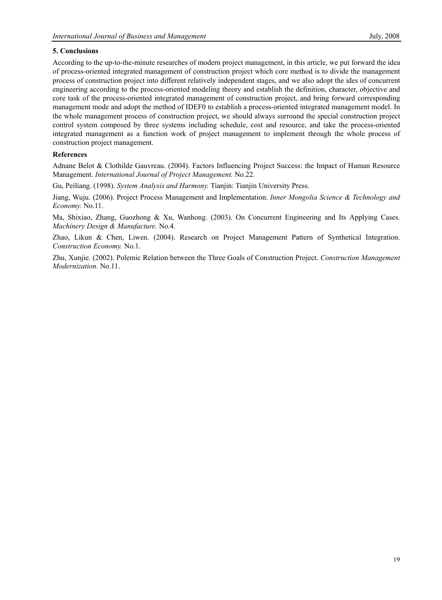## **5. Conclusions**

According to the up-to-the-minute researches of modern project management, in this article, we put forward the idea of process-oriented integrated management of construction project which core method is to divide the management process of construction project into different relatively independent stages, and we also adopt the ides of concurrent engineering according to the process-oriented modeling theory and establish the definition, character, objective and core task of the process-oriented integrated management of construction project, and bring forward corresponding management mode and adopt the method of IDEF0 to establish a process-oriented integrated management model. In the whole management process of construction project, we should always surround the special construction project control system composed by three systems including schedule, cost and resource, and take the process-oriented integrated management as a function work of project management to implement through the whole process of construction project management.

### **References**

Adnane Belot & Clothilde Gauvreau. (2004). Factors Influencing Project Success: the Impact of Human Resource Management. *International Journal of Project Management.* No.22.

Gu, Peiliang. (1998). *System Analysis and Harmony.* Tianjin: Tianjin University Press.

Jiang, Wuju. (2006). Project Process Management and Implementation. *Inner Mongolia Science & Technology and Economy.* No.11.

Ma, Shixiao, Zhang, Guozhong & Xu, Wanhong. (2003). On Concurrent Engineering and Its Applying Cases. *Machinery Design & Manufacture.* No.4.

Zhao, Likun & Chen, Liwen. (2004). Research on Project Management Pattern of Synthetical Integration. *Construction Economy.* No.1.

Zhu, Xunjie. (2002). Polemic Relation between the Three Goals of Construction Project. *Construction Management Modernization.* No.11.